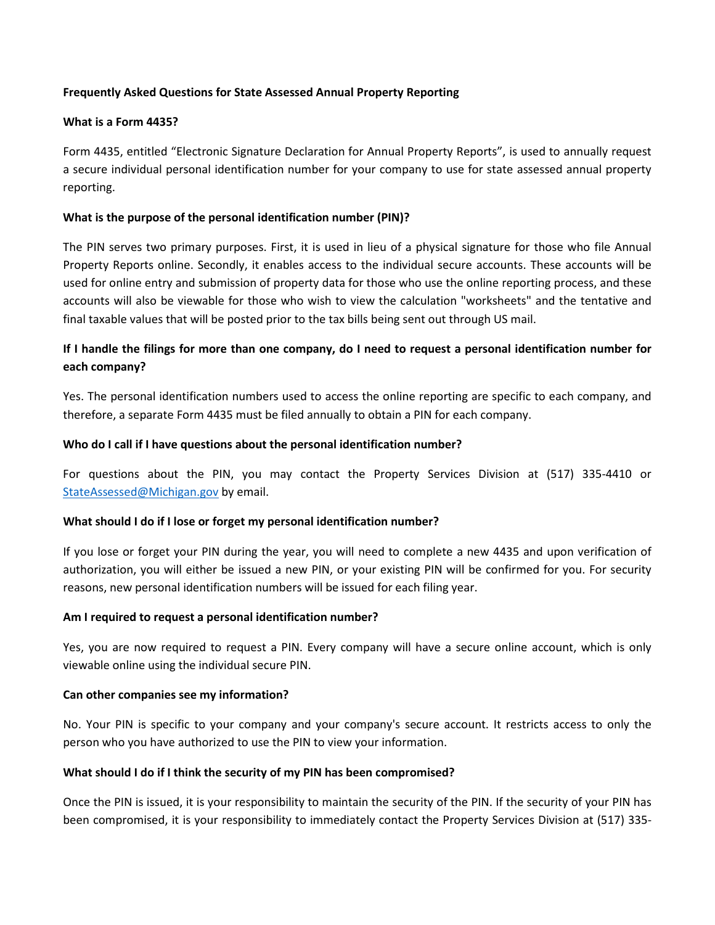### **Frequently Asked Questions for State Assessed Annual Property Reporting**

#### **What is a Form 4435?**

Form 4435, entitled "Electronic Signature Declaration for Annual Property Reports", is used to annually request a secure individual personal identification number for your company to use for state assessed annual property reporting.

#### **What is the purpose of the personal identification number (PIN)?**

The PIN serves two primary purposes. First, it is used in lieu of a physical signature for those who file Annual Property Reports online. Secondly, it enables access to the individual secure accounts. These accounts will be used for online entry and submission of property data for those who use the online reporting process, and these accounts will also be viewable for those who wish to view the calculation "worksheets" and the tentative and final taxable values that will be posted prior to the tax bills being sent out through US mail.

# **If I handle the filings for more than one company, do I need to request a personal identification number for each company?**

Yes. The personal identification numbers used to access the online reporting are specific to each company, and therefore, a separate Form 4435 must be filed annually to obtain a PIN for each company.

#### **Who do I call if I have questions about the personal identification number?**

For questions about the PIN, you may contact the Property Services Division at (517) 335-4410 or [StateAssessed@Michigan.gov](mailto:StateAssessed@Michigan.gov) by email.

#### **What should I do if I lose or forget my personal identification number?**

If you lose or forget your PIN during the year, you will need to complete a new 4435 and upon verification of authorization, you will either be issued a new PIN, or your existing PIN will be confirmed for you. For security reasons, new personal identification numbers will be issued for each filing year.

#### **Am I required to request a personal identification number?**

Yes, you are now required to request a PIN. Every company will have a secure online account, which is only viewable online using the individual secure PIN.

#### **Can other companies see my information?**

No. Your PIN is specific to your company and your company's secure account. It restricts access to only the person who you have authorized to use the PIN to view your information.

#### **What should I do if I think the security of my PIN has been compromised?**

Once the PIN is issued, it is your responsibility to maintain the security of the PIN. If the security of your PIN has been compromised, it is your responsibility to immediately contact the Property Services Division at (517) 335